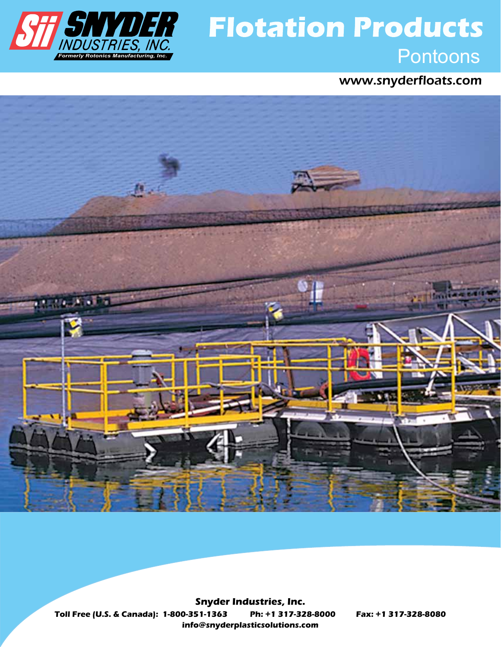

# *PONTOPI* Flotation Products<br>
Formerly Rotonics Manufacturing, Inc. **Flotation Products**

www.snyderfloats.com



**Toll Free (U.S. & Canada): 1-800-351-1363 Ph: +1 317-328-8000 Fax: +1 317-328-8080 info@snyderplasticsolutions.com Snyder Industries, Inc.**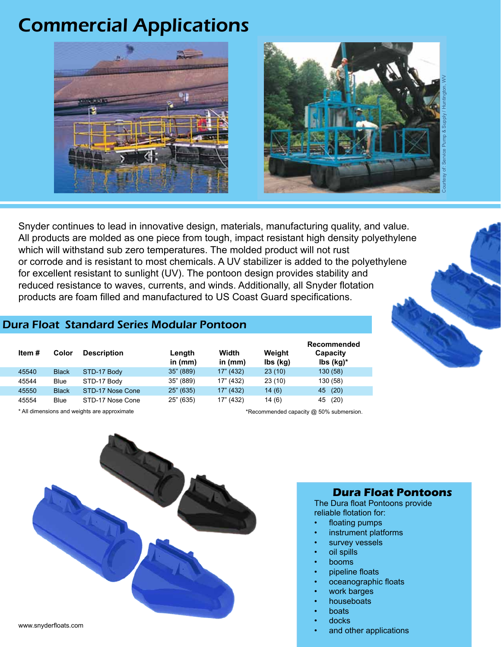# Commercial Applications





Snyder continues to lead in innovative design, materials, manufacturing quality, and value. All products are molded as one piece from tough, impact resistant high density polyethylene which will withstand sub zero temperatures. The molded product will not rust or corrode and is resistant to most chemicals. A UV stabilizer is added to the polyethylene for excellent resistant to sunlight (UV). The pontoon design provides stability and reduced resistance to waves, currents, and winds. Additionally, all Snyder flotation products are foam filled and manufactured to US Coast Guard specifications.

## Dura Float Standard Series Modular Pontoon

| Item # | Color        | <b>Description</b> | Length<br>in $(mm)$ | Width<br>in $(mm)$ | Weight<br>lbs (kg) | Recommended<br>Capacity<br>$\mathsf{lbs}(\mathsf{kg})^*$ |
|--------|--------------|--------------------|---------------------|--------------------|--------------------|----------------------------------------------------------|
| 45540  | <b>Black</b> | STD-17 Body        | 35" (889)           | 17" (432)          | 23(10)             | 130 (58)                                                 |
| 45544  | Blue         | STD-17 Body        | 35" (889)           | 17" (432)          | 23(10)             | 130 (58)                                                 |
| 45550  | <b>Black</b> | STD-17 Nose Cone   | 25" (635)           | 17" (432)          | 14(6)              | (20)<br>45                                               |
| 45554  | Blue         | STD-17 Nose Cone   | 25" (635)           | 17" (432)          | 14(6)              | (20)<br>45                                               |

\* All dimensions and weights are approximate the state of the state of the state of the state of the state of the state of the state of the state of the state of the state of the state of the state of the state of the stat



#### **Dura Float Pontoons**

The Dura float Pontoons provide reliable flotation for:

- floating pumps
- instrument platforms
- survey vessels
- oil spills
- **booms**
- pipeline floats
- oceanographic floats
- work barges
- houseboats
- boats
- docks
- and other applications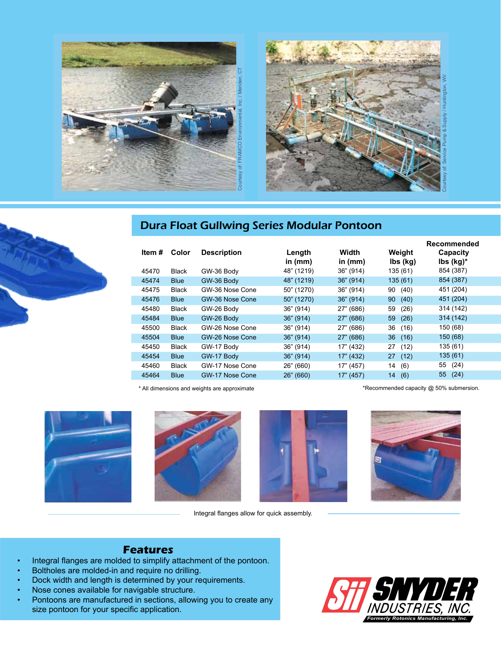





|        |              |                    |            |           | Recommended                          |                               |  |
|--------|--------------|--------------------|------------|-----------|--------------------------------------|-------------------------------|--|
| Item # | Color        | <b>Description</b> | Length     | Width     | Weight                               | Capacity                      |  |
|        |              |                    | in $(mm)$  | in $(mm)$ | $\mathsf{lbs}(\mathsf{k}\mathsf{g})$ | $\mathsf{lbs}(\mathsf{kg})^*$ |  |
| 45470  | <b>Black</b> | GW-36 Body         | 48" (1219) | 36" (914) | 135(61)                              | 854 (387)                     |  |
| 45474  | <b>Blue</b>  | GW-36 Body         | 48" (1219) | 36" (914) | 135(61)                              | 854 (387)                     |  |
| 45475  | <b>Black</b> | GW-36 Nose Cone    | 50" (1270) | 36" (914) | (40)<br>90                           | 451 (204)                     |  |
| 45476  | <b>Blue</b>  | GW-36 Nose Cone    | 50" (1270) | 36" (914) | (40)<br>90                           | 451 (204)                     |  |
| 45480  | <b>Black</b> | GW-26 Body         | 36" (914)  | 27" (686) | (26)<br>59                           | 314 (142)                     |  |
| 45484  | <b>Blue</b>  | GW-26 Body         | 36" (914)  | 27" (686) | 59<br>(26)                           | 314 (142)                     |  |
| 45500  | <b>Black</b> | GW-26 Nose Cone    | 36" (914)  | 27" (686) | 36<br>(16)                           | 150 (68)                      |  |
| 45504  | <b>Blue</b>  | GW-26 Nose Cone    | 36" (914)  | 27" (686) | 36<br>(16)                           | 150 (68)                      |  |
| 45450  | <b>Black</b> | GW-17 Body         | 36" (914)  | 17" (432) | 27<br>(12)                           | 135 (61)                      |  |
| 45454  | <b>Blue</b>  | GW-17 Body         | 36" (914)  | 17" (432) | 27(12)                               | 135 (61)                      |  |
| 45460  | <b>Black</b> | GW-17 Nose Cone    | 26" (660)  | 17" (457) | 14<br>(6)                            | (24)<br>55                    |  |
| 45464  | <b>Blue</b>  | GW-17 Nose Cone    | 26" (660)  | 17" (457) | 14<br>(6)                            | 55<br>(24)                    |  |
|        |              |                    |            |           |                                      |                               |  |

\* All dimensions and weights are approximate

\*Recommended capacity @ 50% submersion.





Integral flanges allow for quick assembly.





### **Features**

- Integral flanges are molded to simplify attachment of the pontoon.
- Boltholes are molded-in and require no drilling.
- Dock width and length is determined by your requirements.
- Nose cones available for navigable structure.
- Pontoons are manufactured in sections, allowing you to create any size pontoon for your specific application.